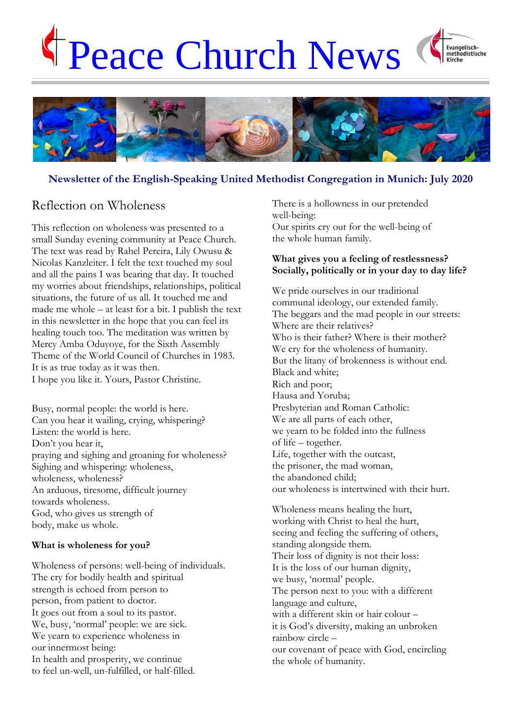# Peace Church News





## **Newsletter of the English-Speaking United Methodist Congregation in Munich: July 2020**

# Reflection on Wholeness

This reflection on wholeness was presented to a small Sunday evening community at Peace Church. The text was read by Rahel Pereira, Lily Owusu & Nicolas Kanzleiter. I felt the text touched my soul and all the pains I was bearing that day. It touched my worries about friendships, relationships, political situations, the future of us all. It touched me and made me whole – at least for a bit. I publish the text in this newsletter in the hope that you can feel its healing touch too. The meditation was written by Mercy Amba Oduyoye, for the Sixth Assembly Theme of the World Council of Churches in 1983. It is as true today as it was then. I hope you like it. Yours, Pastor Christine.

Busy, normal people: the world is here. Can you hear it wailing, crying, whispering? Listen: the world is here. Don't you hear it, praying and sighing and groaning for wholeness? Sighing and whispering: wholeness, wholeness, wholeness? An arduous, tiresome, difficult journey towards wholeness. God, who gives us strength of body, make us whole.

### **What is wholeness for you?**

Wholeness of persons: well-being of individuals. The cry for bodily health and spiritual strength is echoed from person to person, from patient to doctor. It goes out from a soul to its pastor. We, busy, 'normal' people: we are sick. We yearn to experience wholeness in our innermost being: In health and prosperity, we continue to feel un-well, un-fulfilled, or half-filled.

There is a hollowness in our pretended well-being: Our spirits cry out for the well-being of the whole human family.

### **What gives you a feeling of restlessness? Socially, politically or in your day to day life?**

We pride ourselves in our traditional communal ideology, our extended family. The beggars and the mad people in our streets: Where are their relatives? Who is their father? Where is their mother? We cry for the wholeness of humanity. But the litany of brokenness is without end. Black and white; Rich and poor; Hausa and Yoruba; Presbyterian and Roman Catholic: We are all parts of each other, we yearn to be folded into the fullness of life – together. Life, together with the outcast, the prisoner, the mad woman, the abandoned child; our wholeness is intertwined with their hurt.

Wholeness means healing the hurt, working with Christ to heal the hurt, seeing and feeling the suffering of others, standing alongside them. Their loss of dignity is not their loss: It is the loss of our human dignity, we busy, 'normal' people. The person next to you: with a different language and culture, with a different skin or hair colour – it is God's diversity, making an unbroken rainbow circle – our covenant of peace with God, encircling the whole of humanity.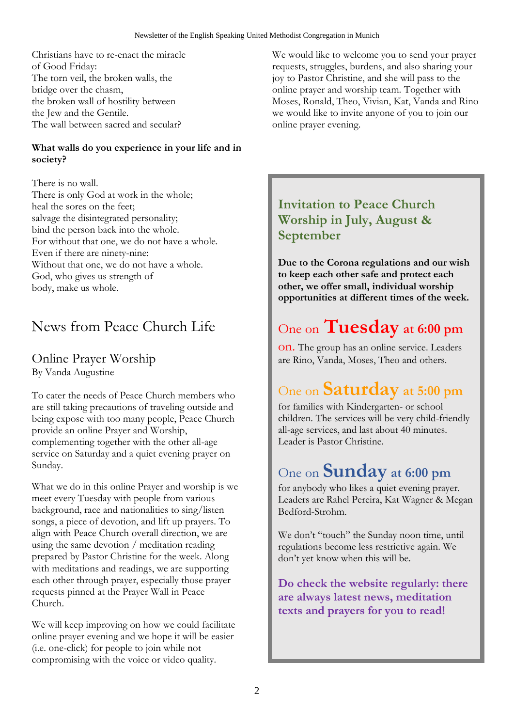Christians have to re-enact the miracle of Good Friday: The torn veil, the broken walls, the bridge over the chasm, the broken wall of hostility between the Jew and the Gentile. The wall between sacred and secular?

## **What walls do you experience in your life and in society?**

There is no wall. There is only God at work in the whole; heal the sores on the feet; salvage the disintegrated personality; bind the person back into the whole. For without that one, we do not have a whole. Even if there are ninety-nine: Without that one, we do not have a whole. God, who gives us strength of body, make us whole.

# News from Peace Church Life

## Online Prayer Worship By Vanda Augustine

To cater the needs of Peace Church members who are still taking precautions of traveling outside and being expose with too many people, Peace Church provide an online Prayer and Worship, complementing together with the other all-age service on Saturday and a quiet evening prayer on Sunday.

What we do in this online Prayer and worship is we meet every Tuesday with people from various background, race and nationalities to sing/listen songs, a piece of devotion, and lift up prayers. To align with Peace Church overall direction, we are using the same devotion / meditation reading prepared by Pastor Christine for the week. Along with meditations and readings, we are supporting each other through prayer, especially those prayer requests pinned at the Prayer Wall in Peace Church.

We will keep improving on how we could facilitate online prayer evening and we hope it will be easier (i.e. one-click) for people to join while not compromising with the voice or video quality.

We would like to welcome you to send your prayer requests, struggles, burdens, and also sharing your joy to Pastor Christine, and she will pass to the online prayer and worship team. Together with Moses, Ronald, Theo, Vivian, Kat, Vanda and Rino we would like to invite anyone of you to join our online prayer evening.

# **Invitation to Peace Church Worship in July, August & September**

**Due to the Corona regulations and our wish to keep each other safe and protect each other, we offer small, individual worship opportunities at different times of the week.**

# One on **Tuesday at 6:00 pm**

on. The group has an online service. Leaders are Rino, Vanda, Moses, Theo and others.

# One on **Saturday at 5:00 pm**

for families with Kindergarten- or school children. The services will be very child-friendly all-age services, and last about 40 minutes. Leader is Pastor Christine.

# One on **Sunday at 6:00 pm**

for anybody who likes a quiet evening prayer. Leaders are Rahel Pereira, Kat Wagner & Megan Bedford-Strohm.

We don't "touch" the Sunday noon time, until regulations become less restrictive again. We don't yet know when this will be.

**Do check the website regularly: there are always latest news, meditation texts and prayers for you to read!**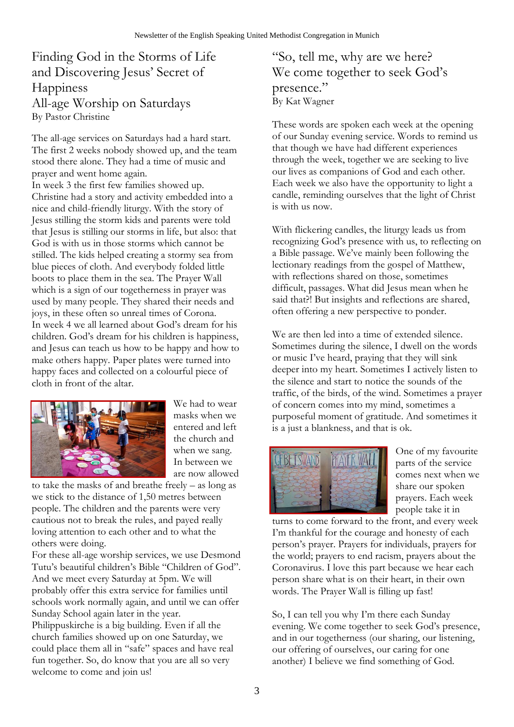Finding God in the Storms of Life and Discovering Jesus' Secret of Happiness All-age Worship on Saturdays By Pastor Christine

The all-age services on Saturdays had a hard start. The first 2 weeks nobody showed up, and the team stood there alone. They had a time of music and prayer and went home again.

In week 3 the first few families showed up. Christine had a story and activity embedded into a nice and child-friendly liturgy. With the story of Jesus stilling the storm kids and parents were told that Jesus is stilling our storms in life, but also: that God is with us in those storms which cannot be stilled. The kids helped creating a stormy sea from blue pieces of cloth. And everybody folded little boots to place them in the sea. The Prayer Wall which is a sign of our togetherness in prayer was used by many people. They shared their needs and joys, in these often so unreal times of Corona. In week 4 we all learned about God's dream for his children. God's dream for his children is happiness, and Jesus can teach us how to be happy and how to make others happy. Paper plates were turned into happy faces and collected on a colourful piece of cloth in front of the altar.



We had to wear masks when we entered and left the church and when we sang. In between we are now allowed

to take the masks of and breathe freely – as long as we stick to the distance of 1,50 metres between people. The children and the parents were very cautious not to break the rules, and payed really loving attention to each other and to what the others were doing.

For these all-age worship services, we use Desmond Tutu's beautiful children's Bible "Children of God". And we meet every Saturday at 5pm. We will probably offer this extra service for families until schools work normally again, and until we can offer Sunday School again later in the year.

Philippuskirche is a big building. Even if all the church families showed up on one Saturday, we could place them all in "safe" spaces and have real fun together. So, do know that you are all so very welcome to come and join us!

"So, tell me, why are we here? We come together to seek God's presence." By Kat Wagner

These words are spoken each week at the opening of our Sunday evening service. Words to remind us that though we have had different experiences through the week, together we are seeking to live our lives as companions of God and each other. Each week we also have the opportunity to light a candle, reminding ourselves that the light of Christ is with us now.

With flickering candles, the liturgy leads us from recognizing God's presence with us, to reflecting on a Bible passage. We've mainly been following the lectionary readings from the gospel of Matthew, with reflections shared on those, sometimes difficult, passages. What did Jesus mean when he said that?! But insights and reflections are shared, often offering a new perspective to ponder.

We are then led into a time of extended silence. Sometimes during the silence, I dwell on the words or music I've heard, praying that they will sink deeper into my heart. Sometimes I actively listen to the silence and start to notice the sounds of the traffic, of the birds, of the wind. Sometimes a prayer of concern comes into my mind, sometimes a purposeful moment of gratitude. And sometimes it is a just a blankness, and that is ok.



One of my favourite parts of the service comes next when we share our spoken prayers. Each week people take it in

turns to come forward to the front, and every week I'm thankful for the courage and honesty of each person's prayer. Prayers for individuals, prayers for the world; prayers to end racism, prayers about the Coronavirus. I love this part because we hear each person share what is on their heart, in their own words. The Prayer Wall is filling up fast!

So, I can tell you why I'm there each Sunday evening. We come together to seek God's presence, and in our togetherness (our sharing, our listening, our offering of ourselves, our caring for one another) I believe we find something of God.